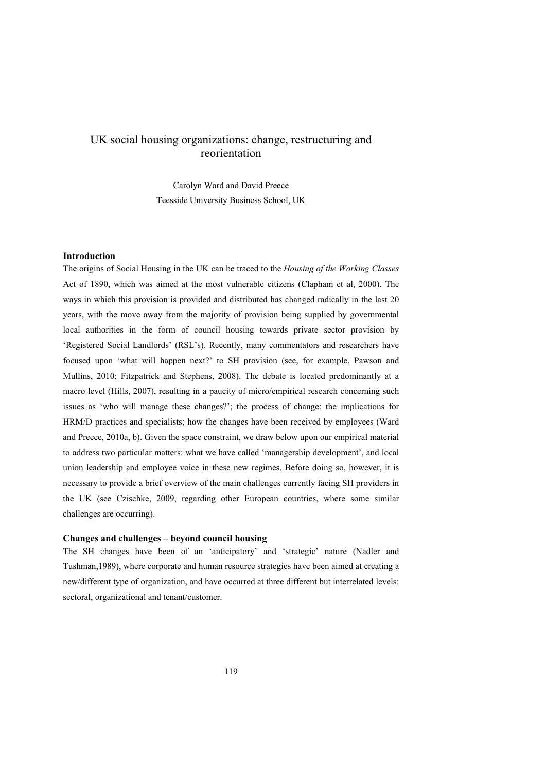# UK social housing organizations: change, restructuring and reorientation

Carolyn Ward and David Preece Teesside University Business School, UK

# **Introduction**

The origins of Social Housing in the UK can be traced to the *Housing of the Working Classes*  Act of 1890, which was aimed at the most vulnerable citizens (Clapham et al, 2000). The ways in which this provision is provided and distributed has changed radically in the last 20 years, with the move away from the majority of provision being supplied by governmental local authorities in the form of council housing towards private sector provision by 'Registered Social Landlords' (RSL's). Recently, many commentators and researchers have focused upon 'what will happen next?' to SH provision (see, for example, Pawson and Mullins, 2010; Fitzpatrick and Stephens, 2008). The debate is located predominantly at a macro level (Hills, 2007), resulting in a paucity of micro/empirical research concerning such issues as 'who will manage these changes?'; the process of change; the implications for HRM/D practices and specialists; how the changes have been received by employees (Ward and Preece, 2010a, b). Given the space constraint, we draw below upon our empirical material to address two particular matters: what we have called 'managership development', and local union leadership and employee voice in these new regimes. Before doing so, however, it is necessary to provide a brief overview of the main challenges currently facing SH providers in the UK (see Czischke, 2009, regarding other European countries, where some similar challenges are occurring).

# **Changes and challenges – beyond council housing**

The SH changes have been of an 'anticipatory' and 'strategic' nature (Nadler and Tushman,1989), where corporate and human resource strategies have been aimed at creating a new/different type of organization, and have occurred at three different but interrelated levels: sectoral, organizational and tenant/customer.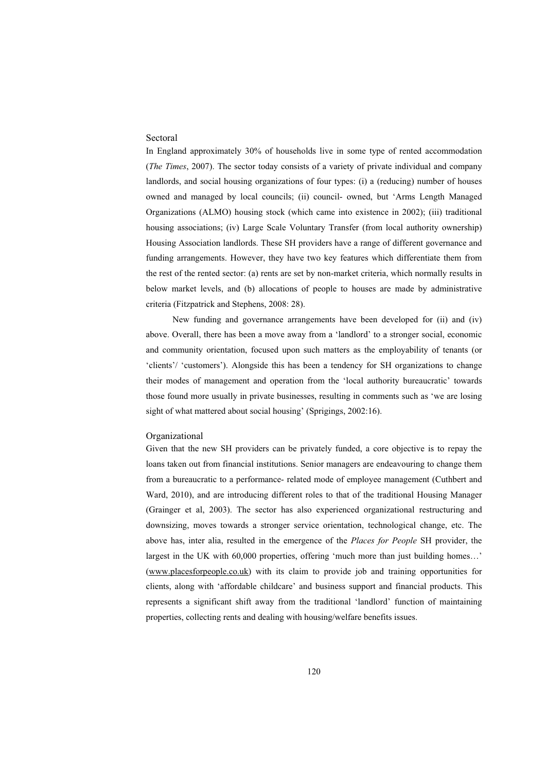# **Sectoral**

In England approximately 30% of households live in some type of rented accommodation (*The Times*, 2007). The sector today consists of a variety of private individual and company landlords, and social housing organizations of four types: (i) a (reducing) number of houses owned and managed by local councils; (ii) council- owned, but 'Arms Length Managed Organizations (ALMO) housing stock (which came into existence in 2002); (iii) traditional housing associations; (iv) Large Scale Voluntary Transfer (from local authority ownership) Housing Association landlords. These SH providers have a range of different governance and funding arrangements. However, they have two key features which differentiate them from the rest of the rented sector: (a) rents are set by non-market criteria, which normally results in below market levels, and (b) allocations of people to houses are made by administrative criteria (Fitzpatrick and Stephens, 2008: 28).

New funding and governance arrangements have been developed for (ii) and (iv) above. Overall, there has been a move away from a 'landlord' to a stronger social, economic and community orientation, focused upon such matters as the employability of tenants (or 'clients'/ 'customers'). Alongside this has been a tendency for SH organizations to change their modes of management and operation from the 'local authority bureaucratic' towards those found more usually in private businesses, resulting in comments such as 'we are losing sight of what mattered about social housing' (Sprigings, 2002:16).

#### Organizational

Given that the new SH providers can be privately funded, a core objective is to repay the loans taken out from financial institutions. Senior managers are endeavouring to change them from a bureaucratic to a performance- related mode of employee management (Cuthbert and Ward, 2010), and are introducing different roles to that of the traditional Housing Manager (Grainger et al, 2003). The sector has also experienced organizational restructuring and downsizing, moves towards a stronger service orientation, technological change, etc. The above has, inter alia, resulted in the emergence of the *Places for People* SH provider, the largest in the UK with 60,000 properties, offering 'much more than just building homes…' (www.placesforpeople.co.uk) with its claim to provide job and training opportunities for clients, along with 'affordable childcare' and business support and financial products. This represents a significant shift away from the traditional 'landlord' function of maintaining properties, collecting rents and dealing with housing/welfare benefits issues.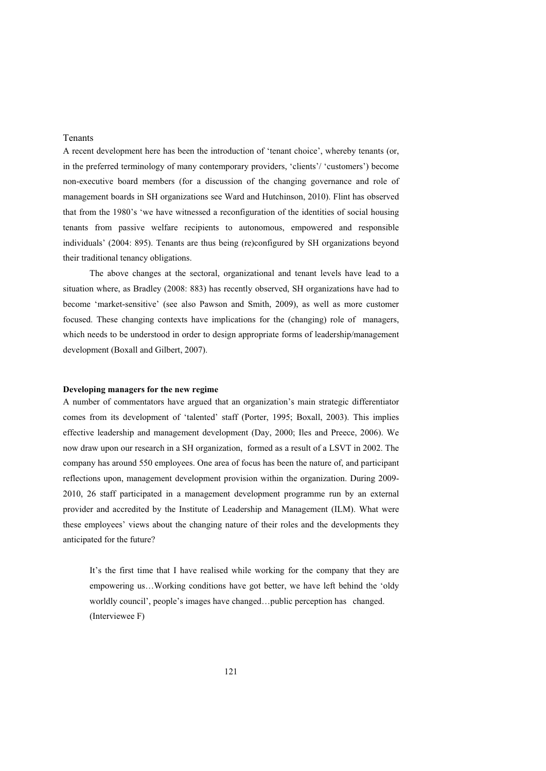# Tenants

A recent development here has been the introduction of 'tenant choice', whereby tenants (or, in the preferred terminology of many contemporary providers, 'clients'/ 'customers') become non-executive board members (for a discussion of the changing governance and role of management boards in SH organizations see Ward and Hutchinson, 2010). Flint has observed that from the 1980's 'we have witnessed a reconfiguration of the identities of social housing tenants from passive welfare recipients to autonomous, empowered and responsible individuals' (2004: 895). Tenants are thus being (re)configured by SH organizations beyond their traditional tenancy obligations.

The above changes at the sectoral, organizational and tenant levels have lead to a situation where, as Bradley (2008: 883) has recently observed, SH organizations have had to become 'market-sensitive' (see also Pawson and Smith, 2009), as well as more customer focused. These changing contexts have implications for the (changing) role of managers, which needs to be understood in order to design appropriate forms of leadership/management development (Boxall and Gilbert, 2007).

#### **Developing managers for the new regime**

A number of commentators have argued that an organization's main strategic differentiator comes from its development of 'talented' staff (Porter, 1995; Boxall, 2003). This implies effective leadership and management development (Day, 2000; Iles and Preece, 2006). We now draw upon our research in a SH organization, formed as a result of a LSVT in 2002. The company has around 550 employees. One area of focus has been the nature of, and participant reflections upon, management development provision within the organization. During 2009- 2010, 26 staff participated in a management development programme run by an external provider and accredited by the Institute of Leadership and Management (ILM). What were these employees' views about the changing nature of their roles and the developments they anticipated for the future?

It's the first time that I have realised while working for the company that they are empowering us…Working conditions have got better, we have left behind the 'oldy worldly council', people's images have changed…public perception has changed. (Interviewee F)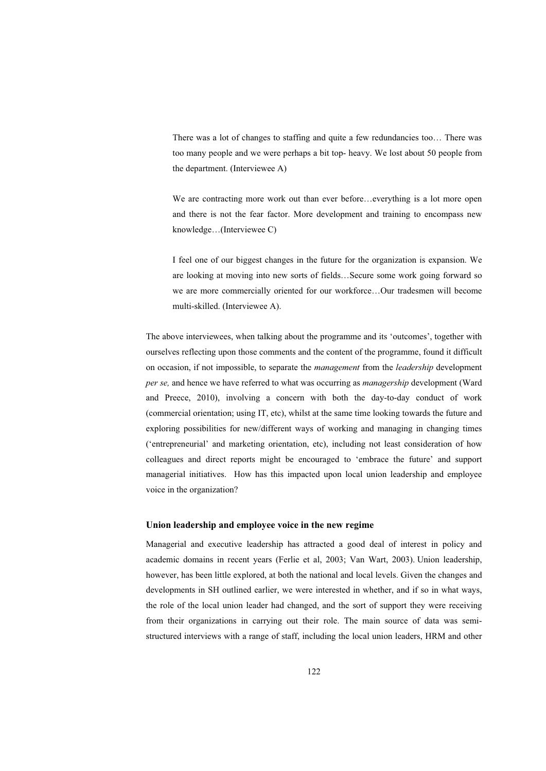There was a lot of changes to staffing and quite a few redundancies too… There was too many people and we were perhaps a bit top- heavy. We lost about 50 people from the department. (Interviewee A)

We are contracting more work out than ever before…everything is a lot more open and there is not the fear factor. More development and training to encompass new knowledge…(Interviewee C)

I feel one of our biggest changes in the future for the organization is expansion. We are looking at moving into new sorts of fields…Secure some work going forward so we are more commercially oriented for our workforce…Our tradesmen will become multi-skilled. (Interviewee A).

The above interviewees, when talking about the programme and its 'outcomes', together with ourselves reflecting upon those comments and the content of the programme, found it difficult on occasion, if not impossible, to separate the *management* from the *leadership* development *per se,* and hence we have referred to what was occurring as *managership* development (Ward and Preece, 2010), involving a concern with both the day-to-day conduct of work (commercial orientation; using IT, etc), whilst at the same time looking towards the future and exploring possibilities for new/different ways of working and managing in changing times ('entrepreneurial' and marketing orientation, etc), including not least consideration of how colleagues and direct reports might be encouraged to 'embrace the future' and support managerial initiatives. How has this impacted upon local union leadership and employee voice in the organization?

#### **Union leadership and employee voice in the new regime**

Managerial and executive leadership has attracted a good deal of interest in policy and academic domains in recent years (Ferlie et al, 2003; Van Wart, 2003). Union leadership, however, has been little explored, at both the national and local levels. Given the changes and developments in SH outlined earlier, we were interested in whether, and if so in what ways, the role of the local union leader had changed, and the sort of support they were receiving from their organizations in carrying out their role. The main source of data was semistructured interviews with a range of staff, including the local union leaders, HRM and other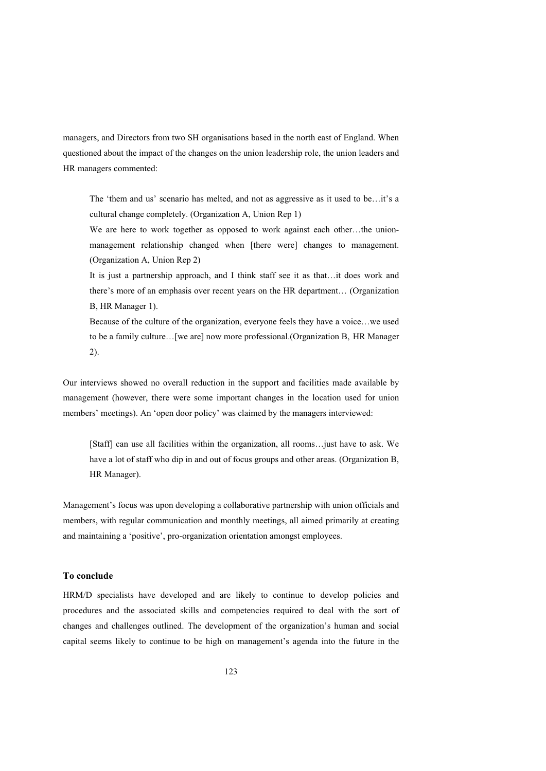managers, and Directors from two SH organisations based in the north east of England. When questioned about the impact of the changes on the union leadership role, the union leaders and HR managers commented:

The 'them and us' scenario has melted, and not as aggressive as it used to be…it's a cultural change completely. (Organization A, Union Rep 1)

We are here to work together as opposed to work against each other…the unionmanagement relationship changed when [there were] changes to management. (Organization A, Union Rep 2)

It is just a partnership approach, and I think staff see it as that…it does work and there's more of an emphasis over recent years on the HR department… (Organization B, HR Manager 1).

Because of the culture of the organization, everyone feels they have a voice…we used to be a family culture…[we are] now more professional.(Organization B, HR Manager 2).

Our interviews showed no overall reduction in the support and facilities made available by management (however, there were some important changes in the location used for union members' meetings). An 'open door policy' was claimed by the managers interviewed:

[Staff] can use all facilities within the organization, all rooms…just have to ask. We have a lot of staff who dip in and out of focus groups and other areas. (Organization B, HR Manager).

Management's focus was upon developing a collaborative partnership with union officials and members, with regular communication and monthly meetings, all aimed primarily at creating and maintaining a 'positive', pro-organization orientation amongst employees.

# **To conclude**

HRM/D specialists have developed and are likely to continue to develop policies and procedures and the associated skills and competencies required to deal with the sort of changes and challenges outlined. The development of the organization's human and social capital seems likely to continue to be high on management's agenda into the future in the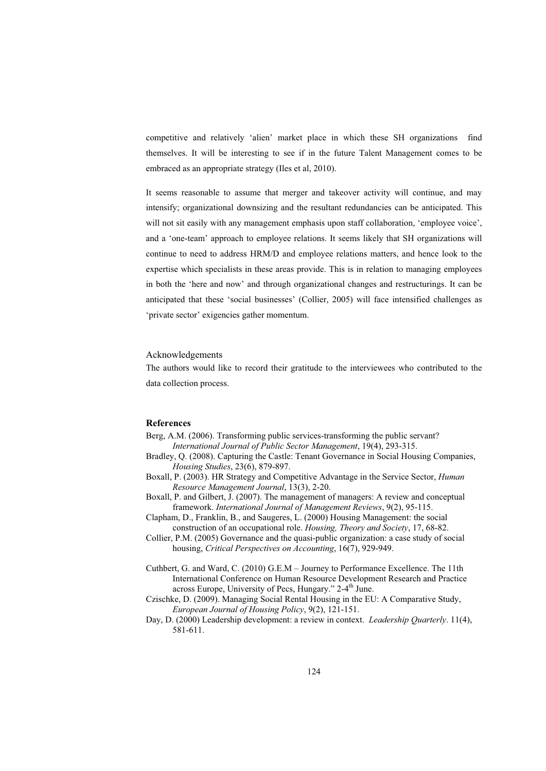competitive and relatively 'alien' market place in which these SH organizations find themselves. It will be interesting to see if in the future Talent Management comes to be embraced as an appropriate strategy (Iles et al, 2010).

It seems reasonable to assume that merger and takeover activity will continue, and may intensify; organizational downsizing and the resultant redundancies can be anticipated. This will not sit easily with any management emphasis upon staff collaboration, 'employee voice', and a 'one-team' approach to employee relations. It seems likely that SH organizations will continue to need to address HRM/D and employee relations matters, and hence look to the expertise which specialists in these areas provide. This is in relation to managing employees in both the 'here and now' and through organizational changes and restructurings. It can be anticipated that these 'social businesses' (Collier, 2005) will face intensified challenges as 'private sector' exigencies gather momentum.

#### Acknowledgements

The authors would like to record their gratitude to the interviewees who contributed to the data collection process.

#### **References**

- Berg, A.M. (2006). Transforming public services-transforming the public servant? *International Journal of Public Sector Management*, 19(4), 293-315.
- Bradley, Q. (2008). Capturing the Castle: Tenant Governance in Social Housing Companies, *Housing Studies*, 23(6), 879-897.
- Boxall, P. (2003). HR Strategy and Competitive Advantage in the Service Sector, *Human Resource Management Journal*, 13(3), 2-20.
- Boxall, P. and Gilbert, J. (2007). The management of managers: A review and conceptual framework. *International Journal of Management Reviews*, 9(2), 95-115.
- Clapham, D., Franklin, B., and Saugeres, L. (2000) Housing Management: the social construction of an occupational role. *Housing, Theory and Society*, 17, 68-82.
- Collier, P.M. (2005) Governance and the quasi-public organization: a case study of social housing, *Critical Perspectives on Accounting*, 16(7), 929-949.
- Cuthbert, G. and Ward, C. (2010) G.E.M Journey to Performance Excellence. The 11th International Conference on Human Resource Development Research and Practice across Europe, University of Pecs, Hungary." 2-4<sup>th</sup> June.
- Czischke, D. (2009). Managing Social Rental Housing in the EU: A Comparative Study, *European Journal of Housing Policy*, 9(2), 121-151.
- Day, D. (2000) Leadership development: a review in context. *Leadership Quarterly*. 11(4), 581-611.